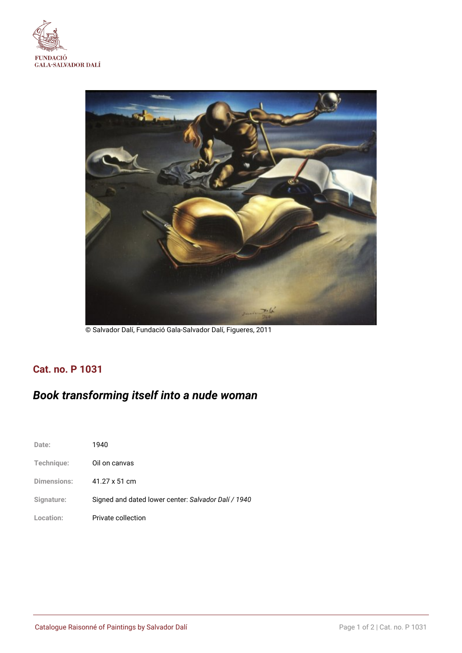



© Salvador Dalí, Fundació Gala-Salvador Dalí, Figueres, 2011

# **Cat. no. P 1031**

# *Book transforming itself into a nude woman*

| Date:              | 1940                                                |
|--------------------|-----------------------------------------------------|
| Technique:         | Oil on canvas                                       |
| <b>Dimensions:</b> | $41.27 \times 51$ cm                                |
| Signature:         | Signed and dated lower center: Salvador Dalí / 1940 |
| Location:          | Private collection                                  |